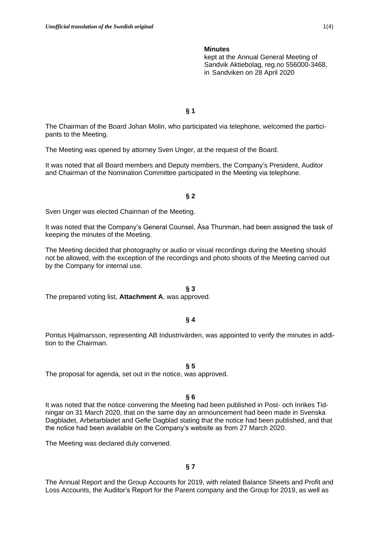kept at the Annual General Meeting of Sandvik Aktiebolag, reg.no 556000-3468, in Sandviken on 28 April 2020

**§ 1**

The Chairman of the Board Johan Molin, who participated via telephone, welcomed the participants to the Meeting.

The Meeting was opened by attorney Sven Unger, at the request of the Board.

It was noted that all Board members and Deputy members, the Company's President, Auditor and Chairman of the Nomination Committee participated in the Meeting via telephone.

### **§ 2**

Sven Unger was elected Chairman of the Meeting.

It was noted that the Company's General Counsel, Åsa Thunman, had been assigned the task of keeping the minutes of the Meeting.

The Meeting decided that photography or audio or visual recordings during the Meeting should not be allowed, with the exception of the recordings and photo shoots of the Meeting carried out by the Company for internal use.

#### **§ 3**

The prepared voting list, **Attachment A**, was approved.

### **§ 4**

Pontus Hjalmarsson, representing AB Industrivärden, was appointed to verify the minutes in addition to the Chairman.

**§ 5**

The proposal for agenda, set out in the notice, was approved.

#### **§ 6**

It was noted that the notice convening the Meeting had been published in Post- och Inrikes Tidningar on 31 March 2020, that on the same day an announcement had been made in Svenska Dagbladet, Arbetarbladet and Gefle Dagblad stating that the notice had been published, and that the notice had been available on the Company's website as from 27 March 2020.

The Meeting was declared duly convened.

### **§ 7**

The Annual Report and the Group Accounts for 2019, with related Balance Sheets and Profit and Loss Accounts, the Auditor's Report for the Parent company and the Group for 2019, as well as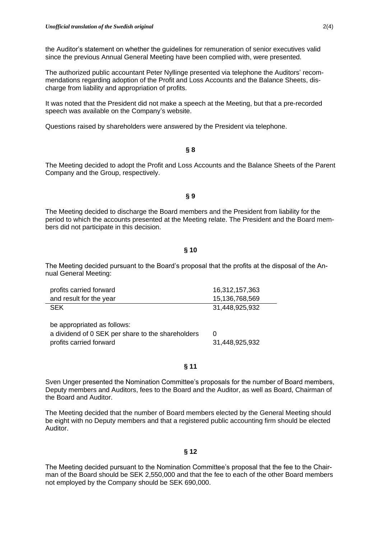the Auditor's statement on whether the guidelines for remuneration of senior executives valid since the previous Annual General Meeting have been complied with, were presented.

The authorized public accountant Peter Nyllinge presented via telephone the Auditors' recommendations regarding adoption of the Profit and Loss Accounts and the Balance Sheets, discharge from liability and appropriation of profits.

It was noted that the President did not make a speech at the Meeting, but that a pre-recorded speech was available on the Company's website.

Questions raised by shareholders were answered by the President via telephone.

**§ 8**

The Meeting decided to adopt the Profit and Loss Accounts and the Balance Sheets of the Parent Company and the Group, respectively.

### **§ 9**

The Meeting decided to discharge the Board members and the President from liability for the period to which the accounts presented at the Meeting relate. The President and the Board members did not participate in this decision.

# **§ 10**

The Meeting decided pursuant to the Board's proposal that the profits at the disposal of the Annual General Meeting:

| profits carried forward | 16,312,157,363 |
|-------------------------|----------------|
| and result for the year | 15,136,768,569 |
| <b>SEK</b>              | 31,448,925,932 |

| be appropriated as follows:                       |                |
|---------------------------------------------------|----------------|
| a dividend of 0 SEK per share to the shareholders |                |
| profits carried forward                           | 31,448,925,932 |

### **§ 11**

Sven Unger presented the Nomination Committee's proposals for the number of Board members, Deputy members and Auditors, fees to the Board and the Auditor, as well as Board, Chairman of the Board and Auditor.

The Meeting decided that the number of Board members elected by the General Meeting should be eight with no Deputy members and that a registered public accounting firm should be elected Auditor.

# **§ 12**

The Meeting decided pursuant to the Nomination Committee's proposal that the fee to the Chairman of the Board should be SEK 2,550,000 and that the fee to each of the other Board members not employed by the Company should be SEK 690,000.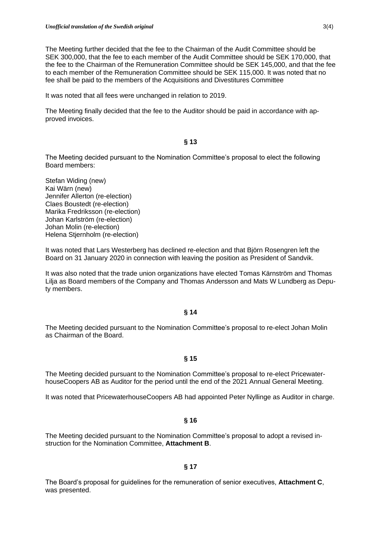The Meeting further decided that the fee to the Chairman of the Audit Committee should be SEK 300,000, that the fee to each member of the Audit Committee should be SEK 170,000, that the fee to the Chairman of the Remuneration Committee should be SEK 145,000, and that the fee to each member of the Remuneration Committee should be SEK 115,000. It was noted that no fee shall be paid to the members of the Acquisitions and Divestitures Committee

It was noted that all fees were unchanged in relation to 2019.

The Meeting finally decided that the fee to the Auditor should be paid in accordance with approved invoices.

# **§ 13**

The Meeting decided pursuant to the Nomination Committee's proposal to elect the following Board members:

Stefan Widing (new) Kai Wärn (new) Jennifer Allerton (re-election) Claes Boustedt (re-election) Marika Fredriksson (re-election) Johan Karlström (re-election) Johan Molin (re-election) Helena Stjernholm (re-election)

It was noted that Lars Westerberg has declined re-election and that Björn Rosengren left the Board on 31 January 2020 in connection with leaving the position as President of Sandvik.

It was also noted that the trade union organizations have elected Tomas Kärnström and Thomas Lilja as Board members of the Company and Thomas Andersson and Mats W Lundberg as Deputy members.

# **§ 14**

The Meeting decided pursuant to the Nomination Committee's proposal to re-elect Johan Molin as Chairman of the Board.

# **§ 15**

The Meeting decided pursuant to the Nomination Committee's proposal to re-elect PricewaterhouseCoopers AB as Auditor for the period until the end of the 2021 Annual General Meeting.

It was noted that PricewaterhouseCoopers AB had appointed Peter Nyllinge as Auditor in charge.

### **§ 16**

The Meeting decided pursuant to the Nomination Committee's proposal to adopt a revised instruction for the Nomination Committee, **Attachment B**.

### **§ 17**

The Board's proposal for guidelines for the remuneration of senior executives, **Attachment C**, was presented.